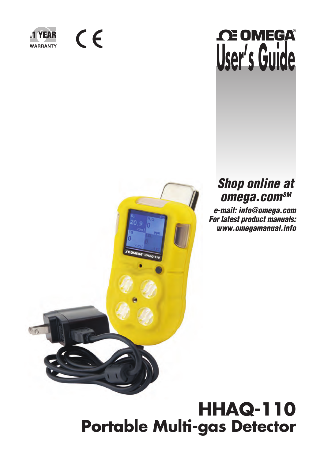

 $C \in$ 

# **OE OMEGA® User's Guide**



## *Shop online at omega.comSM*

 *e-mail: info@omega.com For latest product manuals: www.omegamanual.info*

## **HHAQ-110 Portable Multi-gas Detector**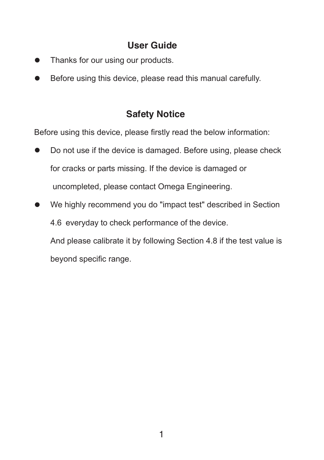## **User Guide**

- Thanks for our using our products.
- Before using this device, please read this manual carefully.

## **Safety Notice**

Before using this device, please firstly read the below information:

- Do not use if the device is damaged. Before using, please check for cracks or parts missing. If the device is damaged or uncompleted, please contact Omega Engineering.
- We highly recommend you do "impact test" described in Section 4.6 everyday to check performance of the device. And please calibrate it by following Section 4.8 if the test value is beyond specific range.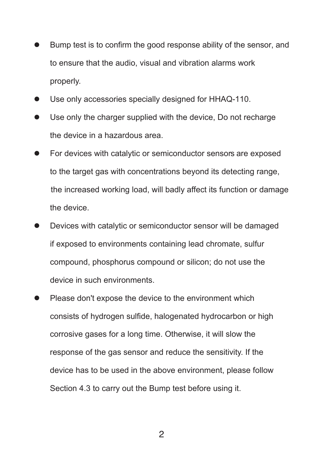- $\bullet$ Bump test is to confirm the good response ability of the sensor, and to ensure that the audio, visual and vibration alarms work properly.
- Use only accessories specially designed for HHAQ-110.
- Use only the charger supplied with the device, Do not recharge the device in a hazardous area.
- For devices with catalytic or semiconductor sensors are exposed to the target gas with concentrations beyond its detecting range, the increased working load, will badly affect its function or damage the device.
- Devices with catalytic or semiconductor sensor will be damaged if exposed to environments containing lead chromate, sulfur compound, phosphorus compound or silicon; do not use the device in such environments.
- Please don't expose the device to the environment which consists of hydrogen sulfide, halogenated hydrocarbon or high corrosive gases for a long time. Otherwise, it will slow the response of the gas sensor and reduce the sensitivity. If the device has to be used in the above environment, please follow Section 4.3 to carry out the Bump test before using it.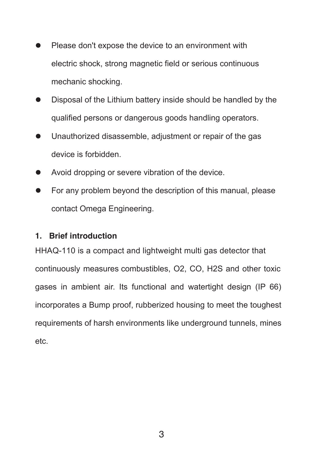- Please don't expose the device to an environment with electric shock, strong magnetic field or serious continuous mechanic shocking.
- Disposal of the Lithium battery inside should be handled by the qualified persons or dangerous goods handling operators.
- Unauthorized disassemble, adjustment or repair of the gas device is forbidden.
- Avoid dropping or severe vibration of the device.
- For any problem beyond the description of this manual, please contact Omega Engineering.

#### **1. Brief introduction**

HHAQ-110 is a compact and lightweight multi gas detector that continuously measures combustibles, O2, CO, H2S and other toxic gases in ambient air. Its functional and watertight design (IP 66) incorporates a Bump proof, rubberized housing to meet the toughest requirements of harsh environments like underground tunnels, mines etc.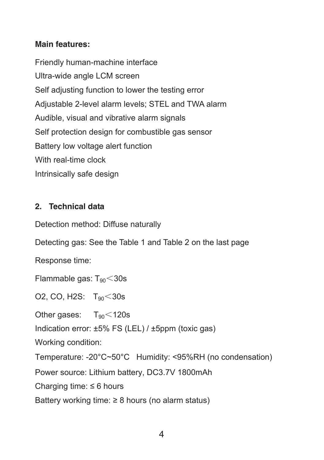### **Main features:**

Friendly human-machine interface Ultra-wide angle LCM screen Self adjusting function to lower the testing error Adjustable 2-level alarm levels; STEL and TWA alarm Audible, visual and vibrative alarm signals Self protection design for combustible gas sensor Battery low voltage alert function With real-time clock Intrinsically safe design

## **2. Technical data**

Detection method: Diffuse naturally

Detecting gas: See the Table 1 and Table 2 on the last page

Response time:

Flammable gas:  $T_{90}$  < 30s

O2, CO, H2S:  $T_{90}$  < 30s

Other gases:  $T_{90}$  < 120s

Indication error: ±5% FS (LEL) / ±5ppm (toxic gas)

Working condition:

Temperature: -20°C~50°C Humidity: <95%RH (no condensation)

Power source: Lithium battery, DC3.7V 1800mAh

Charging time:  $\leq 6$  hours

Battery working time:  $\geq 8$  hours (no alarm status)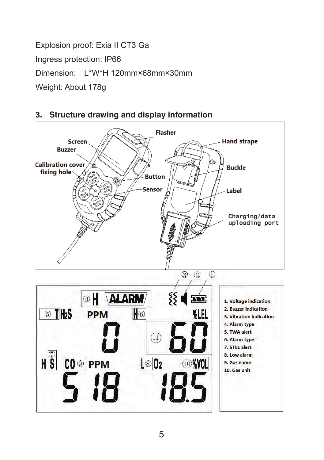Explosion proof: Exia II CT3 Ga Ingress protection: IP66 Dimension: L\*W\*H 120mm×68mm×30mm Weight: About 178g



#### **3. Structure drawing and display information**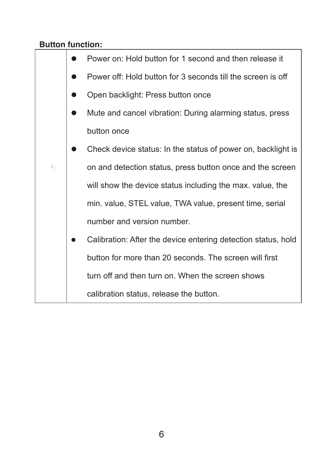## **Button function:**

|    | Power on: Hold button for 1 second and then release it        |
|----|---------------------------------------------------------------|
|    | Power off: Hold button for 3 seconds till the screen is off   |
|    | Open backlight: Press button once                             |
|    | Mute and cancel vibration: During alarming status, press      |
|    | button once                                                   |
|    | Check device status: In the status of power on, backlight is  |
| Æ, | on and detection status, press button once and the screen     |
|    | will show the device status including the max. value, the     |
|    | min. value, STEL value, TWA value, present time, serial       |
|    | number and version number.                                    |
|    | Calibration: After the device entering detection status, hold |
|    | button for more than 20 seconds. The screen will first        |
|    | turn off and then turn on. When the screen shows              |
|    | calibration status, release the button.                       |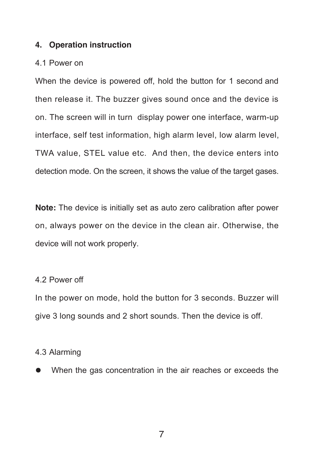#### **4. Operation instruction**

#### 4.1 Power on

When the device is powered off, hold the button for 1 second and then release it. The buzzer gives sound once and the device is on. The screen will in turn display power one interface, warm-up interface, self test information, high alarm level, low alarm level, TWA value, STEL value etc. And then, the device enters into detection mode. On the screen, it shows the value of the target gases.

**Note:** The device is initially set as auto zero calibration after power on, always power on the device in the clean air. Otherwise, the device will not work properly.

#### 4.2 Power off

In the power on mode, hold the button for 3 seconds. Buzzer will give 3 long sounds and 2 short sounds. Then the device is off.

#### 4.3 Alarming

When the gas concentration in the air reaches or exceeds the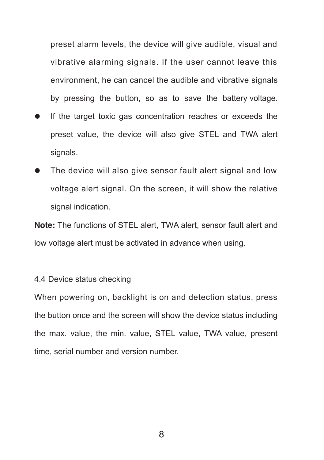preset alarm levels, the device will give audible, visual and vibrative alarming signals. If the user cannot leave this environment, he can cancel the audible and vibrative signals by pressing the button, so as to save the battery voltage.

- If the target toxic gas concentration reaches or exceeds the preset value, the device will also give STEL and TWA alert signals.
- The device will also give sensor fault alert signal and low voltage alert signal. On the screen, it will show the relative signal indication.

**Note:** The functions of STEL alert, TWA alert, sensor fault alert and low voltage alert must be activated in advance when using.

#### 4.4 Device status checking

When powering on, backlight is on and detection status, press the button once and the screen will show the device status including the max. value, the min. value, STEL value, TWA value, present time, serial number and version number.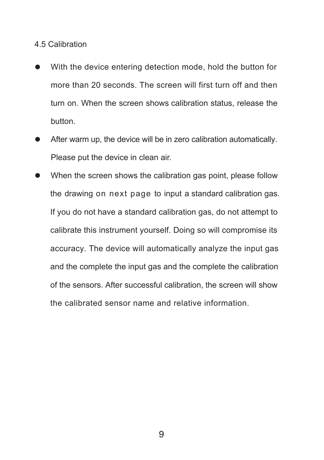#### 4.5 Calibration

- With the device entering detection mode, hold the button for  $\bullet$ more than 20 seconds. The screen will first turn off and then turn on. When the screen shows calibration status, release the button.
- After warm up, the device will be in zero calibration automatically. Please put the device in clean air.
- When the screen shows the calibration gas point, please follow the drawing on next page to input a standard calibration gas. If you do not have a standard calibration gas, do not attempt to calibrate this instrument yourself. Doing so will compromise its accuracy. The device will automatically analyze the input gas and the complete the input gas and the complete the calibration of the sensors. After successful calibration, the screen will show the calibrated sensor name and relative information.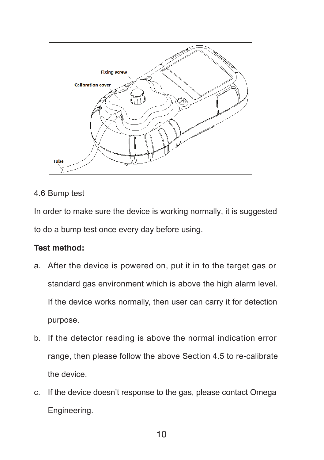

## 4.6 Bump test

In order to make sure the device is working normally, it is suggested to do a bump test once every day before using.

## **Test method:**

- a. After the device is powered on, put it in to the target gas or standard gas environment which is above the high alarm level. If the device works normally, then user can carry it for detection purpose.
- b. If the detector reading is above the normal indication error range, then please follow the above Section 4.5 to re-calibrate the device.
- c. If the device doesn't response to the gas, please contact Omega Engineering.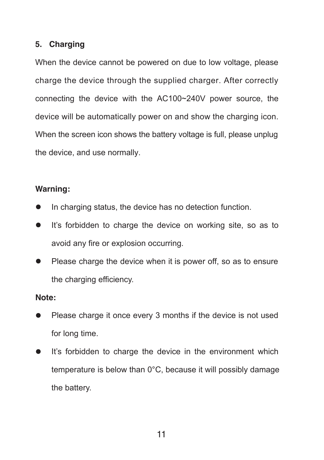#### **5. Charging**

When the device cannot be powered on due to low voltage, please charge the device through the supplied charger. After correctly connecting the device with the AC100~240V power source, the device will be automatically power on and show the charging icon. When the screen icon shows the battery voltage is full, please unplug the device, and use normally.

#### **Warning:**

- In charging status, the device has no detection function.
- It's forbidden to charge the device on working site, so as to avoid any fire or explosion occurring.
- Please charge the device when it is power off, so as to ensure the charging efficiency.

#### **Note:**

- Please charge it once every 3 months if the device is not used for long time.
- $\bullet$  It's forbidden to charge the device in the environment which temperature is below than 0°C, because it will possibly damage the battery.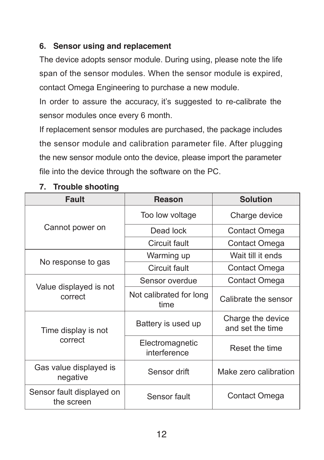## **6. Sensor using and replacement**

The device adopts sensor module. During using, please note the life span of the sensor modules. When the sensor module is expired, contact Omega Engineering to purchase a new module.

In order to assure the accuracy, it's suggested to re-calibrate the sensor modules once every 6 month.

If replacement sensor modules are purchased, the package includes the sensor module and calibration parameter file. After plugging the new sensor module onto the device, please import the parameter file into the device through the software on the PC.

| <b>Fault</b>                            | <b>Reason</b>                   | <b>Solution</b>                       |  |
|-----------------------------------------|---------------------------------|---------------------------------------|--|
|                                         | Too low voltage                 | Charge device                         |  |
| Cannot power on                         | Dead lock                       | Contact Omega                         |  |
|                                         | Circuit fault                   | Contact Omega                         |  |
|                                         | Warming up                      | Wait till it ends                     |  |
| No response to gas                      | Circuit fault                   | Contact Omega                         |  |
|                                         | Sensor overdue                  | Contact Omega                         |  |
| Value displayed is not<br>correct       | Not calibrated for long<br>time | Calibrate the sensor                  |  |
| Time display is not                     | Battery is used up              | Charge the device<br>and set the time |  |
| correct                                 | Electromagnetic<br>interference | Reset the time                        |  |
| Gas value displayed is<br>negative      | Sensor drift                    | Make zero calibration                 |  |
| Sensor fault displayed on<br>the screen | Sensor fault                    | Contact Omega                         |  |

## **7. Trouble shooting**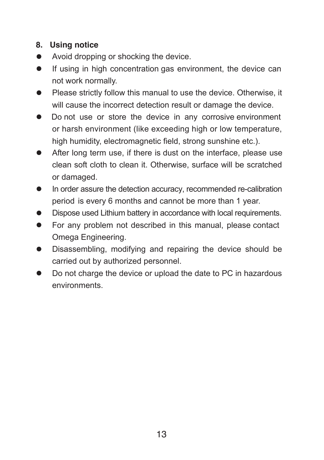## **8. Using notice**

- Avoid dropping or shocking the device.
- **If using in high concentration gas environment, the device can** not work normally.
- Please strictly follow this manual to use the device. Otherwise, it will cause the incorrect detection result or damage the device.
- $\bullet$ Do not use or store the device in any corrosive environment or harsh environment (like exceeding high or low temperature, high humidity, electromagnetic field, strong sunshine etc.).
- After long term use, if there is dust on the interface, please use clean soft cloth to clean it. Otherwise, surface will be scratched or damaged.
- In order assure the detection accuracy, recommended re-calibration period is every 6 months and cannot be more than 1 year.
- Dispose used Lithium battery in accordance with local requirements.  $\blacksquare$
- **•** For any problem not described in this manual, please contact Omega Engineering.
- Disassembling, modifying and repairing the device should be carried out by authorized personnel.
- Do not charge the device or upload the date to PC in hazardous  $\bullet$ environments.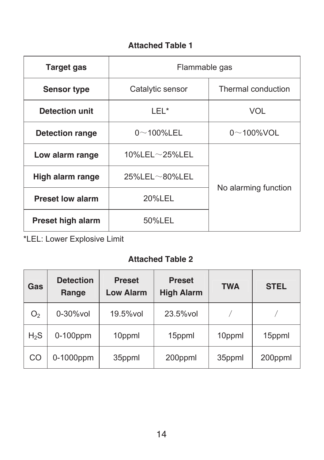## **Attached Table 1**

| <b>Target gas</b>        | Flammable gas            |                      |  |
|--------------------------|--------------------------|----------------------|--|
| <b>Sensor type</b>       | Catalytic sensor         | Thermal conduction   |  |
| Detection unit           | LEI*                     | VOL                  |  |
| <b>Detection range</b>   | $0\nu$ 100%LEL           | $0\nu$ 100%VOL       |  |
| Low alarm range          | 10%LEL $\sim$ 25%LEL     | No alarming function |  |
| High alarm range         | $25\%$ LEL $\sim$ 80%LEL |                      |  |
| <b>Preset low alarm</b>  | 20%LEL                   |                      |  |
| <b>Preset high alarm</b> | 50%LEL                   |                      |  |

\*LEL: Lower Explosive Limit

## **Attached Table 2**

| Gas            | <b>Detection</b><br>Range | <b>Preset</b><br><b>Low Alarm</b> | <b>Preset</b><br><b>High Alarm</b> | <b>TWA</b> | <b>STEL</b> |
|----------------|---------------------------|-----------------------------------|------------------------------------|------------|-------------|
| O <sub>2</sub> | 0-30%vol                  | 19.5% vol                         | 23.5% vol                          |            |             |
| $H_2S$         | $0-100$ ppm               | 10ppml                            | 15ppml                             | 10ppml     | 15ppml      |
| <b>CO</b>      | 0-1000ppm                 | 35ppml                            | 200ppml                            | 35ppml     | 200ppml     |